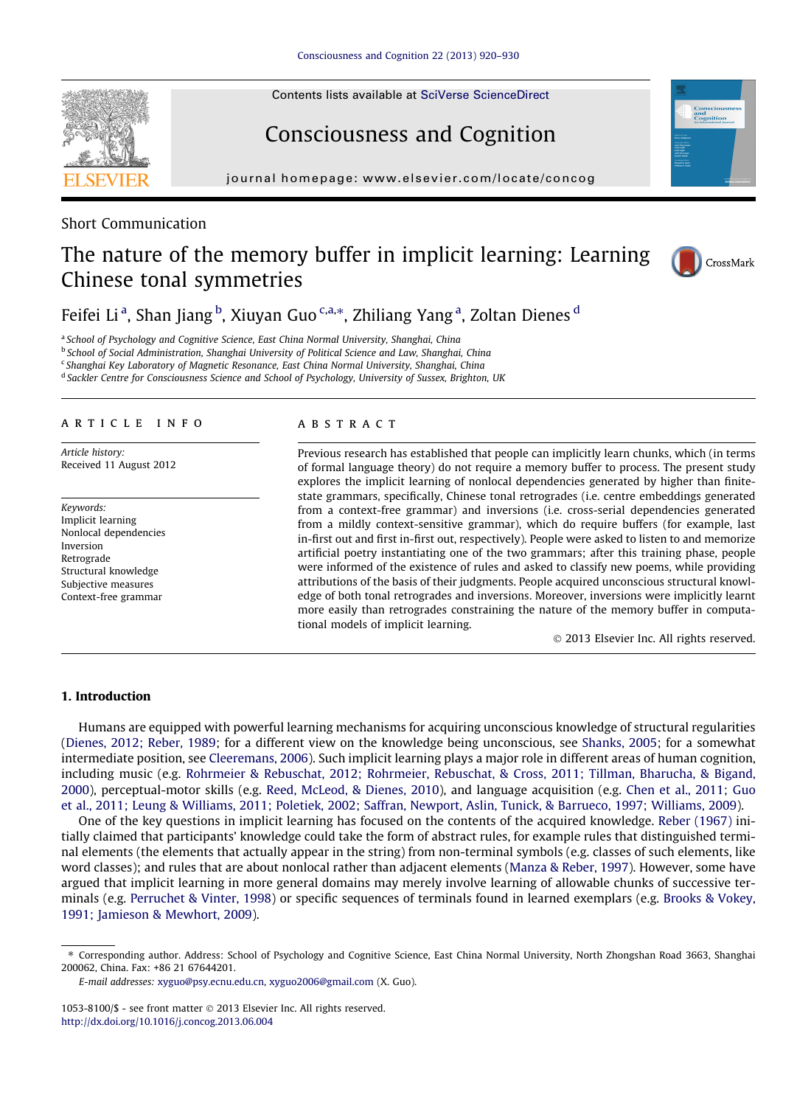Contents lists available at [SciVerse ScienceDirect](http://www.sciencedirect.com/science/journal/10538100)

# Consciousness and Cognition

journal homepage: [www.elsevier.com/locate/concog](http://www.elsevier.com/locate/concog)



# The nature of the memory buffer in implicit learning: Learning Chinese tonal symmetries



CrossMark

# Feifei Li<sup>a</sup>, Shan Jiang <sup>b</sup>, Xiuyan Guo <sup>c,a,\*</sup>, Zhiliang Yang <sup>a</sup>, Zoltan Dienes <sup>d</sup>

<sup>a</sup> School of Psychology and Cognitive Science, East China Normal University, Shanghai, China

<sup>b</sup> School of Social Administration, Shanghai University of Political Science and Law, Shanghai, China

<sup>c</sup> Shanghai Key Laboratory of Magnetic Resonance, East China Normal University, Shanghai, China

<sup>d</sup> Sackler Centre for Consciousness Science and School of Psychology, University of Sussex, Brighton, UK

## article info

Article history: Received 11 August 2012

Keywords: Implicit learning Nonlocal dependencies Inversion Retrograde Structural knowledge Subjective measures Context-free grammar

# **ABSTRACT**

Previous research has established that people can implicitly learn chunks, which (in terms of formal language theory) do not require a memory buffer to process. The present study explores the implicit learning of nonlocal dependencies generated by higher than finitestate grammars, specifically, Chinese tonal retrogrades (i.e. centre embeddings generated from a context-free grammar) and inversions (i.e. cross-serial dependencies generated from a mildly context-sensitive grammar), which do require buffers (for example, last in-first out and first in-first out, respectively). People were asked to listen to and memorize artificial poetry instantiating one of the two grammars; after this training phase, people were informed of the existence of rules and asked to classify new poems, while providing attributions of the basis of their judgments. People acquired unconscious structural knowledge of both tonal retrogrades and inversions. Moreover, inversions were implicitly learnt more easily than retrogrades constraining the nature of the memory buffer in computational models of implicit learning.

- 2013 Elsevier Inc. All rights reserved.

# 1. Introduction

Humans are equipped with powerful learning mechanisms for acquiring unconscious knowledge of structural regularities [\(Dienes, 2012; Reber, 1989;](#page-8-0) for a different view on the knowledge being unconscious, see [Shanks, 2005](#page-9-0); for a somewhat intermediate position, see [Cleeremans, 2006](#page-8-0)). Such implicit learning plays a major role in different areas of human cognition, including music (e.g. [Rohrmeier & Rebuschat, 2012; Rohrmeier, Rebuschat, & Cross, 2011; Tillman, Bharucha, & Bigand,](#page-9-0) [2000\)](#page-9-0), perceptual-motor skills (e.g. [Reed, McLeod, & Dienes, 2010\)](#page-9-0), and language acquisition (e.g. [Chen et al., 2011; Guo](#page-8-0) [et al., 2011; Leung & Williams, 2011; Poletiek, 2002; Saffran, Newport, Aslin, Tunick, & Barrueco, 1997; Williams, 2009\)](#page-8-0).

One of the key questions in implicit learning has focused on the contents of the acquired knowledge. [Reber \(1967\)](#page-9-0) initially claimed that participants' knowledge could take the form of abstract rules, for example rules that distinguished terminal elements (the elements that actually appear in the string) from non-terminal symbols (e.g. classes of such elements, like word classes); and rules that are about nonlocal rather than adjacent elements [\(Manza & Reber, 1997](#page-9-0)). However, some have argued that implicit learning in more general domains may merely involve learning of allowable chunks of successive terminals (e.g. [Perruchet & Vinter, 1998](#page-9-0)) or specific sequences of terminals found in learned exemplars (e.g. [Brooks & Vokey,](#page-8-0) [1991; Jamieson & Mewhort, 2009](#page-8-0)).

E-mail addresses: [xyguo@psy.ecnu.edu.cn](mailto:xyguo@psy.ecnu.edu.cn), [xyguo2006@gmail.com](mailto:xyguo2006@gmail.com) (X. Guo).

 $1053-8100$ /\$ - see front matter  $\odot$  2013 Elsevier Inc. All rights reserved. <http://dx.doi.org/10.1016/j.concog.2013.06.004>

<sup>⇑</sup> Corresponding author. Address: School of Psychology and Cognitive Science, East China Normal University, North Zhongshan Road 3663, Shanghai 200062, China. Fax: +86 21 67644201.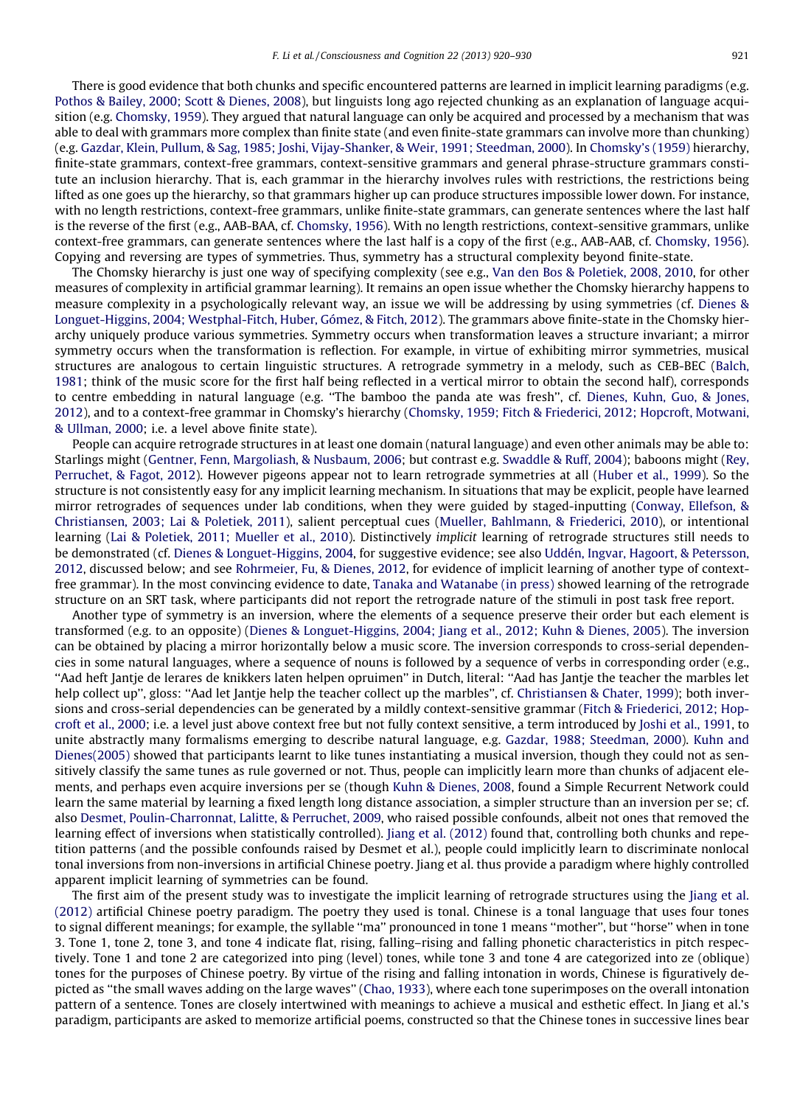There is good evidence that both chunks and specific encountered patterns are learned in implicit learning paradigms (e.g. [Pothos & Bailey, 2000; Scott & Dienes, 2008](#page-9-0)), but linguists long ago rejected chunking as an explanation of language acquisition (e.g. [Chomsky, 1959](#page-8-0)). They argued that natural language can only be acquired and processed by a mechanism that was able to deal with grammars more complex than finite state (and even finite-state grammars can involve more than chunking) (e.g. [Gazdar, Klein, Pullum, & Sag, 1985; Joshi, Vijay-Shanker, & Weir, 1991; Steedman, 2000\)](#page-9-0). In [Chomsky's \(1959\)](#page-8-0) hierarchy, finite-state grammars, context-free grammars, context-sensitive grammars and general phrase-structure grammars constitute an inclusion hierarchy. That is, each grammar in the hierarchy involves rules with restrictions, the restrictions being lifted as one goes up the hierarchy, so that grammars higher up can produce structures impossible lower down. For instance, with no length restrictions, context-free grammars, unlike finite-state grammars, can generate sentences where the last half is the reverse of the first (e.g., AAB-BAA, cf. [Chomsky, 1956](#page-8-0)). With no length restrictions, context-sensitive grammars, unlike context-free grammars, can generate sentences where the last half is a copy of the first (e.g., AAB-AAB, cf. [Chomsky, 1956](#page-8-0)). Copying and reversing are types of symmetries. Thus, symmetry has a structural complexity beyond finite-state.

The Chomsky hierarchy is just one way of specifying complexity (see e.g., [Van den Bos & Poletiek, 2008, 2010](#page-10-0), for other measures of complexity in artificial grammar learning). It remains an open issue whether the Chomsky hierarchy happens to measure complexity in a psychologically relevant way, an issue we will be addressing by using symmetries (cf. [Dienes &](#page-8-0) [Longuet-Higgins, 2004; Westphal-Fitch, Huber, Gómez, & Fitch, 2012](#page-8-0)). The grammars above finite-state in the Chomsky hierarchy uniquely produce various symmetries. Symmetry occurs when transformation leaves a structure invariant; a mirror symmetry occurs when the transformation is reflection. For example, in virtue of exhibiting mirror symmetries, musical structures are analogous to certain linguistic structures. A retrograde symmetry in a melody, such as CEB-BEC ([Balch,](#page-8-0) [1981;](#page-8-0) think of the music score for the first half being reflected in a vertical mirror to obtain the second half), corresponds to centre embedding in natural language (e.g. ''The bamboo the panda ate was fresh'', cf. [Dienes, Kuhn, Guo, & Jones,](#page-8-0) [2012\)](#page-8-0), and to a context-free grammar in Chomsky's hierarchy [\(Chomsky, 1959; Fitch & Friederici, 2012; Hopcroft, Motwani,](#page-8-0) [& Ullman, 2000](#page-8-0); i.e. a level above finite state).

People can acquire retrograde structures in at least one domain (natural language) and even other animals may be able to: Starlings might ([Gentner, Fenn, Margoliash, & Nusbaum, 2006;](#page-9-0) but contrast e.g. [Swaddle & Ruff, 2004\)](#page-10-0); baboons might [\(Rey,](#page-9-0) [Perruchet, & Fagot, 2012](#page-9-0)). However pigeons appear not to learn retrograde symmetries at all ([Huber et al., 1999](#page-9-0)). So the structure is not consistently easy for any implicit learning mechanism. In situations that may be explicit, people have learned mirror retrogrades of sequences under lab conditions, when they were guided by staged-inputting [\(Conway, Ellefson, &](#page-8-0) [Christiansen, 2003; Lai & Poletiek, 2011\)](#page-8-0), salient perceptual cues [\(Mueller, Bahlmann, & Friederici, 2010](#page-9-0)), or intentional learning [\(Lai & Poletiek, 2011; Mueller et al., 2010\)](#page-9-0). Distinctively implicit learning of retrograde structures still needs to be demonstrated (cf. [Dienes & Longuet-Higgins, 2004](#page-8-0), for suggestive evidence; see also [Uddén, Ingvar, Hagoort, & Petersson,](#page-10-0) [2012,](#page-10-0) discussed below; and see [Rohrmeier, Fu, & Dienes, 2012,](#page-9-0) for evidence of implicit learning of another type of contextfree grammar). In the most convincing evidence to date, [Tanaka and Watanabe \(in press\)](#page-10-0) showed learning of the retrograde structure on an SRT task, where participants did not report the retrograde nature of the stimuli in post task free report.

Another type of symmetry is an inversion, where the elements of a sequence preserve their order but each element is transformed (e.g. to an opposite) ([Dienes & Longuet-Higgins, 2004; Jiang et al., 2012; Kuhn & Dienes, 2005](#page-8-0)). The inversion can be obtained by placing a mirror horizontally below a music score. The inversion corresponds to cross-serial dependencies in some natural languages, where a sequence of nouns is followed by a sequence of verbs in corresponding order (e.g., ''Aad heft Jantje de lerares de knikkers laten helpen opruimen'' in Dutch, literal: ''Aad has Jantje the teacher the marbles let help collect up", gloss: "Aad let Jantie help the teacher collect up the marbles", cf. [Christiansen & Chater, 1999\)](#page-8-0); both inversions and cross-serial dependencies can be generated by a mildly context-sensitive grammar ([Fitch & Friederici, 2012; Hop](#page-8-0)[croft et al., 2000;](#page-8-0) i.e. a level just above context free but not fully context sensitive, a term introduced by [Joshi et al., 1991](#page-9-0), to unite abstractly many formalisms emerging to describe natural language, e.g. [Gazdar, 1988; Steedman, 2000\)](#page-9-0). [Kuhn and](#page-9-0) [Dienes\(2005\)](#page-9-0) showed that participants learnt to like tunes instantiating a musical inversion, though they could not as sensitively classify the same tunes as rule governed or not. Thus, people can implicitly learn more than chunks of adjacent elements, and perhaps even acquire inversions per se (though [Kuhn & Dienes, 2008](#page-9-0), found a Simple Recurrent Network could learn the same material by learning a fixed length long distance association, a simpler structure than an inversion per se; cf. also [Desmet, Poulin-Charronnat, Lalitte, & Perruchet, 2009,](#page-8-0) who raised possible confounds, albeit not ones that removed the learning effect of inversions when statistically controlled). [Jiang et al. \(2012\)](#page-9-0) found that, controlling both chunks and repetition patterns (and the possible confounds raised by Desmet et al.), people could implicitly learn to discriminate nonlocal tonal inversions from non-inversions in artificial Chinese poetry. Jiang et al. thus provide a paradigm where highly controlled apparent implicit learning of symmetries can be found.

The first aim of the present study was to investigate the implicit learning of retrograde structures using the [Jiang et al.](#page-9-0) [\(2012\)](#page-9-0) artificial Chinese poetry paradigm. The poetry they used is tonal. Chinese is a tonal language that uses four tones to signal different meanings; for example, the syllable ''ma'' pronounced in tone 1 means ''mother'', but ''horse'' when in tone 3. Tone 1, tone 2, tone 3, and tone 4 indicate flat, rising, falling–rising and falling phonetic characteristics in pitch respectively. Tone 1 and tone 2 are categorized into ping (level) tones, while tone 3 and tone 4 are categorized into ze (oblique) tones for the purposes of Chinese poetry. By virtue of the rising and falling intonation in words, Chinese is figuratively depicted as ''the small waves adding on the large waves'' [\(Chao, 1933\)](#page-8-0), where each tone superimposes on the overall intonation pattern of a sentence. Tones are closely intertwined with meanings to achieve a musical and esthetic effect. In Jiang et al.'s paradigm, participants are asked to memorize artificial poems, constructed so that the Chinese tones in successive lines bear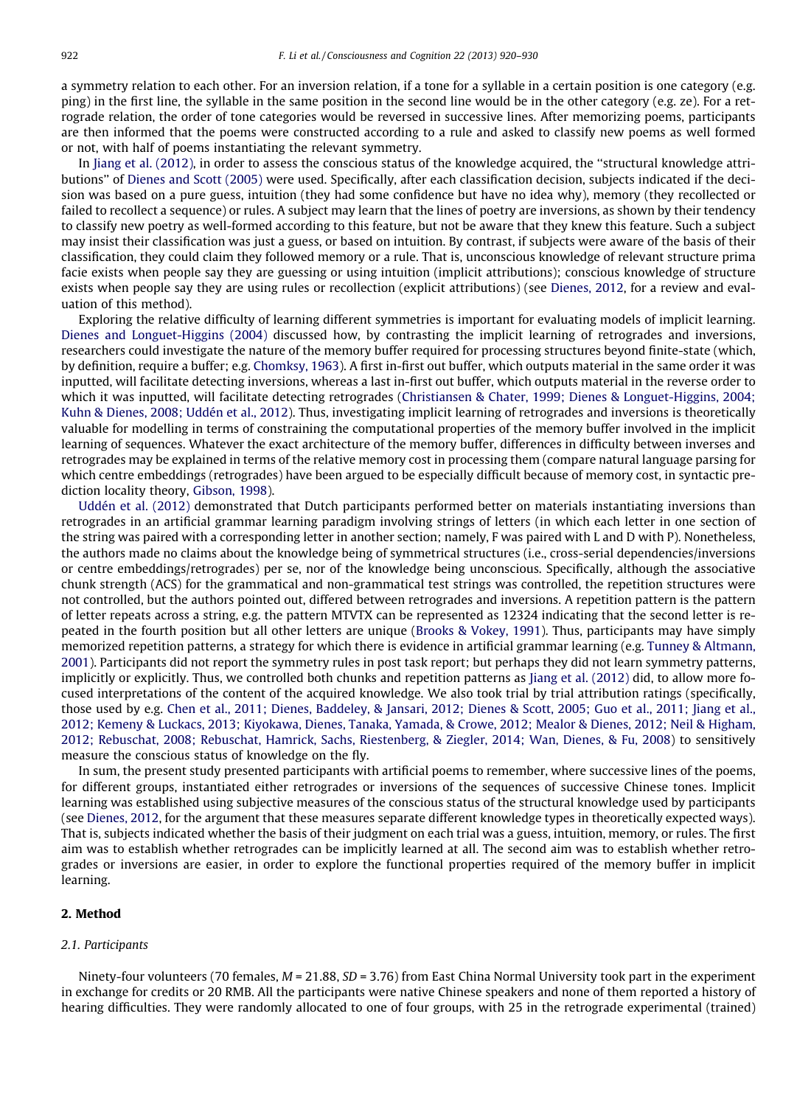a symmetry relation to each other. For an inversion relation, if a tone for a syllable in a certain position is one category (e.g. ping) in the first line, the syllable in the same position in the second line would be in the other category (e.g. ze). For a retrograde relation, the order of tone categories would be reversed in successive lines. After memorizing poems, participants are then informed that the poems were constructed according to a rule and asked to classify new poems as well formed or not, with half of poems instantiating the relevant symmetry.

In [Jiang et al. \(2012\),](#page-9-0) in order to assess the conscious status of the knowledge acquired, the ''structural knowledge attributions'' of [Dienes and Scott \(2005\)](#page-8-0) were used. Specifically, after each classification decision, subjects indicated if the decision was based on a pure guess, intuition (they had some confidence but have no idea why), memory (they recollected or failed to recollect a sequence) or rules. A subject may learn that the lines of poetry are inversions, as shown by their tendency to classify new poetry as well-formed according to this feature, but not be aware that they knew this feature. Such a subject may insist their classification was just a guess, or based on intuition. By contrast, if subjects were aware of the basis of their classification, they could claim they followed memory or a rule. That is, unconscious knowledge of relevant structure prima facie exists when people say they are guessing or using intuition (implicit attributions); conscious knowledge of structure exists when people say they are using rules or recollection (explicit attributions) (see [Dienes, 2012,](#page-8-0) for a review and evaluation of this method).

Exploring the relative difficulty of learning different symmetries is important for evaluating models of implicit learning. [Dienes and Longuet-Higgins \(2004\)](#page-8-0) discussed how, by contrasting the implicit learning of retrogrades and inversions, researchers could investigate the nature of the memory buffer required for processing structures beyond finite-state (which, by definition, require a buffer; e.g. [Chomksy, 1963\)](#page-8-0). A first in-first out buffer, which outputs material in the same order it was inputted, will facilitate detecting inversions, whereas a last in-first out buffer, which outputs material in the reverse order to which it was inputted, will facilitate detecting retrogrades [\(Christiansen & Chater, 1999; Dienes & Longuet-Higgins, 2004;](#page-8-0) [Kuhn & Dienes, 2008; Uddén et al., 2012\)](#page-8-0). Thus, investigating implicit learning of retrogrades and inversions is theoretically valuable for modelling in terms of constraining the computational properties of the memory buffer involved in the implicit learning of sequences. Whatever the exact architecture of the memory buffer, differences in difficulty between inverses and retrogrades may be explained in terms of the relative memory cost in processing them (compare natural language parsing for which centre embeddings (retrogrades) have been argued to be especially difficult because of memory cost, in syntactic prediction locality theory, [Gibson, 1998](#page-9-0)).

[Uddén et al. \(2012\)](#page-10-0) demonstrated that Dutch participants performed better on materials instantiating inversions than retrogrades in an artificial grammar learning paradigm involving strings of letters (in which each letter in one section of the string was paired with a corresponding letter in another section; namely, F was paired with L and D with P). Nonetheless, the authors made no claims about the knowledge being of symmetrical structures (i.e., cross-serial dependencies/inversions or centre embeddings/retrogrades) per se, nor of the knowledge being unconscious. Specifically, although the associative chunk strength (ACS) for the grammatical and non-grammatical test strings was controlled, the repetition structures were not controlled, but the authors pointed out, differed between retrogrades and inversions. A repetition pattern is the pattern of letter repeats across a string, e.g. the pattern MTVTX can be represented as 12324 indicating that the second letter is repeated in the fourth position but all other letters are unique [\(Brooks & Vokey, 1991](#page-8-0)). Thus, participants may have simply memorized repetition patterns, a strategy for which there is evidence in artificial grammar learning (e.g. [Tunney & Altmann,](#page-10-0) [2001](#page-10-0)). Participants did not report the symmetry rules in post task report; but perhaps they did not learn symmetry patterns, implicitly or explicitly. Thus, we controlled both chunks and repetition patterns as [Jiang et al. \(2012\)](#page-9-0) did, to allow more focused interpretations of the content of the acquired knowledge. We also took trial by trial attribution ratings (specifically, those used by e.g. [Chen et al., 2011; Dienes, Baddeley, & Jansari, 2012; Dienes & Scott, 2005; Guo et al., 2011; Jiang et al.,](#page-8-0) [2012; Kemeny & Luckacs, 2013; Kiyokawa, Dienes, Tanaka, Yamada, & Crowe, 2012; Mealor & Dienes, 2012; Neil & Higham,](#page-8-0) [2012; Rebuschat, 2008; Rebuschat, Hamrick, Sachs, Riestenberg, & Ziegler, 2014; Wan, Dienes, & Fu, 2008](#page-8-0)) to sensitively measure the conscious status of knowledge on the fly.

In sum, the present study presented participants with artificial poems to remember, where successive lines of the poems, for different groups, instantiated either retrogrades or inversions of the sequences of successive Chinese tones. Implicit learning was established using subjective measures of the conscious status of the structural knowledge used by participants (see [Dienes, 2012,](#page-8-0) for the argument that these measures separate different knowledge types in theoretically expected ways). That is, subjects indicated whether the basis of their judgment on each trial was a guess, intuition, memory, or rules. The first aim was to establish whether retrogrades can be implicitly learned at all. The second aim was to establish whether retrogrades or inversions are easier, in order to explore the functional properties required of the memory buffer in implicit learning.

# 2. Method

#### 2.1. Participants

Ninety-four volunteers (70 females,  $M = 21.88$ ,  $SD = 3.76$ ) from East China Normal University took part in the experiment in exchange for credits or 20 RMB. All the participants were native Chinese speakers and none of them reported a history of hearing difficulties. They were randomly allocated to one of four groups, with 25 in the retrograde experimental (trained)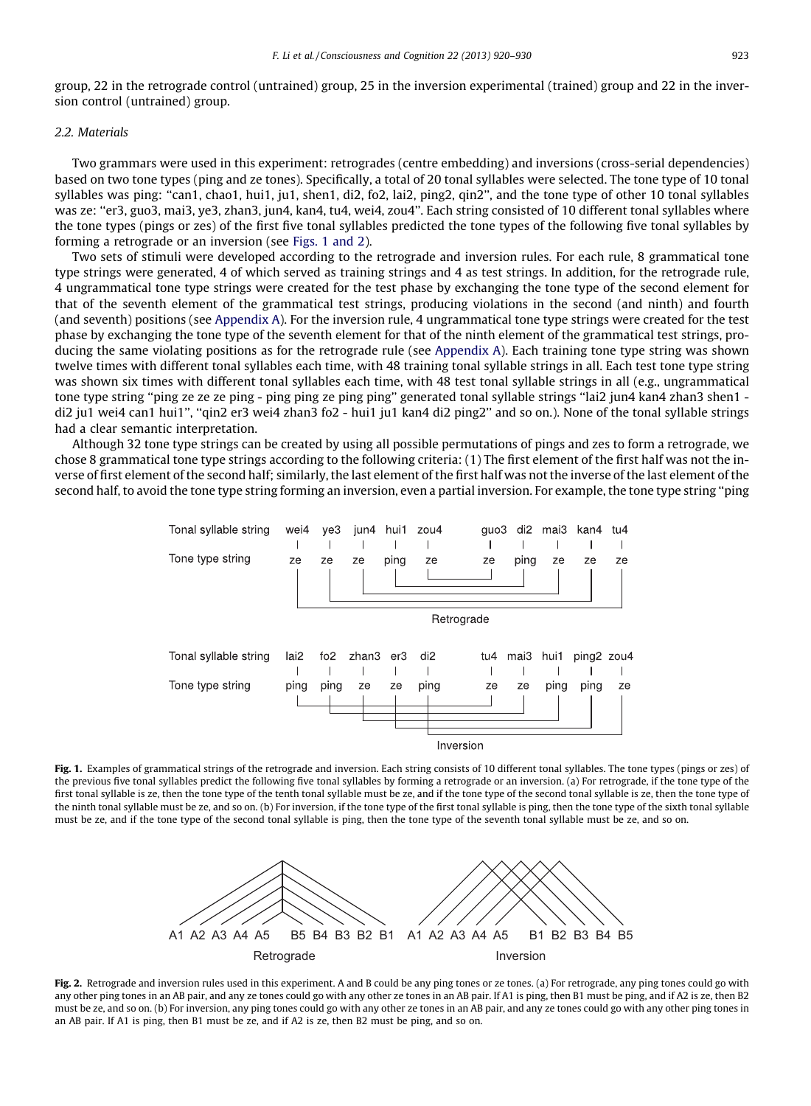group, 22 in the retrograde control (untrained) group, 25 in the inversion experimental (trained) group and 22 in the inversion control (untrained) group.

# 2.2. Materials

Two grammars were used in this experiment: retrogrades (centre embedding) and inversions (cross-serial dependencies) based on two tone types (ping and ze tones). Specifically, a total of 20 tonal syllables were selected. The tone type of 10 tonal syllables was ping: ''can1, chao1, hui1, ju1, shen1, di2, fo2, lai2, ping2, qin2'', and the tone type of other 10 tonal syllables was ze: "er3, guo3, mai3, ye3, zhan3, jun4, kan4, tu4, wei4, zou4". Each string consisted of 10 different tonal syllables where the tone types (pings or zes) of the first five tonal syllables predicted the tone types of the following five tonal syllables by forming a retrograde or an inversion (see Figs. 1 and 2).

Two sets of stimuli were developed according to the retrograde and inversion rules. For each rule, 8 grammatical tone type strings were generated, 4 of which served as training strings and 4 as test strings. In addition, for the retrograde rule, 4 ungrammatical tone type strings were created for the test phase by exchanging the tone type of the second element for that of the seventh element of the grammatical test strings, producing violations in the second (and ninth) and fourth (and seventh) positions (see Appendix A). For the inversion rule, 4 ungrammatical tone type strings were created for the test phase by exchanging the tone type of the seventh element for that of the ninth element of the grammatical test strings, producing the same violating positions as for the retrograde rule (see Appendix A). Each training tone type string was shown twelve times with different tonal syllables each time, with 48 training tonal syllable strings in all. Each test tone type string was shown six times with different tonal syllables each time, with 48 test tonal syllable strings in all (e.g., ungrammatical tone type string "ping ze ze ze ping - ping ping ze ping ping" generated tonal syllable strings "lai2 jun4 kan4 zhan3 shen1 di2 ju1 wei4 can1 hui1", "qin2 er3 wei4 zhan3 fo2 - hui1 ju1 kan4 di2 ping2" and so on.). None of the tonal syllable strings had a clear semantic interpretation.

Although 32 tone type strings can be created by using all possible permutations of pings and zes to form a retrograde, we chose 8 grammatical tone type strings according to the following criteria: (1) The first element of the first half was not the inverse of first element of the second half; similarly, the last element of the first half was not the inverse of the last element of the second half, to avoid the tone type string forming an inversion, even a partial inversion. For example, the tone type string ''ping



Fig. 1. Examples of grammatical strings of the retrograde and inversion. Each string consists of 10 different tonal syllables. The tone types (pings or zes) of the previous five tonal syllables predict the following five tonal syllables by forming a retrograde or an inversion. (a) For retrograde, if the tone type of the first tonal syllable is ze, then the tone type of the tenth tonal syllable must be ze, and if the tone type of the second tonal syllable is ze, then the tone type of the ninth tonal syllable must be ze, and so on. (b) For inversion, if the tone type of the first tonal syllable is ping, then the tone type of the sixth tonal syllable must be ze, and if the tone type of the second tonal syllable is ping, then the tone type of the seventh tonal syllable must be ze, and so on.



Fig. 2. Retrograde and inversion rules used in this experiment. A and B could be any ping tones or ze tones. (a) For retrograde, any ping tones could go with any other ping tones in an AB pair, and any ze tones could go with any other ze tones in an AB pair. If A1 is ping, then B1 must be ping, and if A2 is ze, then B2 must be ze, and so on. (b) For inversion, any ping tones could go with any other ze tones in an AB pair, and any ze tones could go with any other ping tones in an AB pair. If A1 is ping, then B1 must be ze, and if A2 is ze, then B2 must be ping, and so on.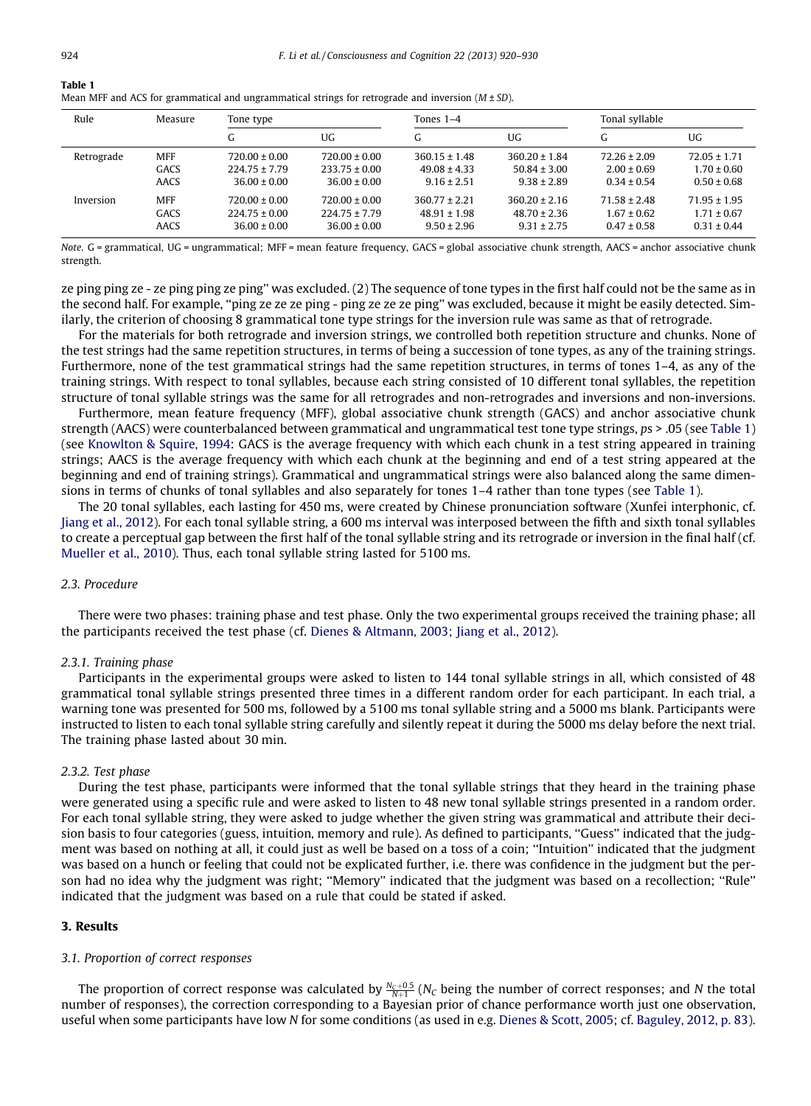#### Table 1

| Mean MFF and ACS for grammatical and ungrammatical strings for retrograde and inversion ( $M \pm SD$ ). |  |  |  |
|---------------------------------------------------------------------------------------------------------|--|--|--|
|---------------------------------------------------------------------------------------------------------|--|--|--|

| Rule       | Measure    |                   | Tone type         |                   | Tones $1-4$       |                  | Tonal syllable   |  |
|------------|------------|-------------------|-------------------|-------------------|-------------------|------------------|------------------|--|
|            |            | G                 | UG.               | G                 | UG.               | G                | UG               |  |
| Retrograde | <b>MFF</b> | $720.00 \pm 0.00$ | $720.00 \pm 0.00$ | $360.15 \pm 1.48$ | $360.20 \pm 1.84$ | $72.26 \pm 2.09$ | $72.05 \pm 1.71$ |  |
|            | GACS       | $224.75 \pm 7.79$ | $233.75 \pm 0.00$ | $49.08 \pm 4.33$  | $50.84 \pm 3.00$  | $2.00 \pm 0.69$  | $1.70 \pm 0.60$  |  |
|            | AACS       | $36.00 \pm 0.00$  | $36.00 \pm 0.00$  | $9.16 \pm 2.51$   | $9.38 \pm 2.89$   | $0.34 \pm 0.54$  | $0.50 \pm 0.68$  |  |
| Inversion  | <b>MFF</b> | $720.00 \pm 0.00$ | $720.00 \pm 0.00$ | $360.77 \pm 2.21$ | $360.20 \pm 2.16$ | $71.58 \pm 2.48$ | $71.95 \pm 1.95$ |  |
|            | GACS       | $224.75 \pm 0.00$ | $224.75 \pm 7.79$ | $48.91 \pm 1.98$  | $48.70 \pm 2.36$  | $1.67 \pm 0.62$  | $1.71 \pm 0.67$  |  |
|            | AACS       | $36.00 \pm 0.00$  | $36.00 \pm 0.00$  | $9.50 \pm 2.96$   | $9.31 \pm 2.75$   | $0.47 \pm 0.58$  | $0.31 \pm 0.44$  |  |

Note. G = grammatical, UG = ungrammatical; MFF = mean feature frequency, GACS = global associative chunk strength, AACS = anchor associative chunk strength.

ze ping ping ze - ze ping ping ze ping'' was excluded. (2) The sequence of tone types in the first half could not be the same as in the second half. For example, ''ping ze ze ze ping - ping ze ze ze ping'' was excluded, because it might be easily detected. Similarly, the criterion of choosing 8 grammatical tone type strings for the inversion rule was same as that of retrograde.

For the materials for both retrograde and inversion strings, we controlled both repetition structure and chunks. None of the test strings had the same repetition structures, in terms of being a succession of tone types, as any of the training strings. Furthermore, none of the test grammatical strings had the same repetition structures, in terms of tones 1–4, as any of the training strings. With respect to tonal syllables, because each string consisted of 10 different tonal syllables, the repetition structure of tonal syllable strings was the same for all retrogrades and non-retrogrades and inversions and non-inversions.

Furthermore, mean feature frequency (MFF), global associative chunk strength (GACS) and anchor associative chunk strength (AACS) were counterbalanced between grammatical and ungrammatical test tone type strings, ps > .05 (see Table 1) (see [Knowlton & Squire, 1994:](#page-9-0) GACS is the average frequency with which each chunk in a test string appeared in training strings; AACS is the average frequency with which each chunk at the beginning and end of a test string appeared at the beginning and end of training strings). Grammatical and ungrammatical strings were also balanced along the same dimensions in terms of chunks of tonal syllables and also separately for tones 1–4 rather than tone types (see Table 1).

The 20 tonal syllables, each lasting for 450 ms, were created by Chinese pronunciation software (Xunfei interphonic, cf. [Jiang et al., 2012](#page-9-0)). For each tonal syllable string, a 600 ms interval was interposed between the fifth and sixth tonal syllables to create a perceptual gap between the first half of the tonal syllable string and its retrograde or inversion in the final half (cf. [Mueller et al., 2010](#page-9-0)). Thus, each tonal syllable string lasted for 5100 ms.

#### 2.3. Procedure

There were two phases: training phase and test phase. Only the two experimental groups received the training phase; all the participants received the test phase (cf. [Dienes & Altmann, 2003; Jiang et al., 2012](#page-8-0)).

# 2.3.1. Training phase

Participants in the experimental groups were asked to listen to 144 tonal syllable strings in all, which consisted of 48 grammatical tonal syllable strings presented three times in a different random order for each participant. In each trial, a warning tone was presented for 500 ms, followed by a 5100 ms tonal syllable string and a 5000 ms blank. Participants were instructed to listen to each tonal syllable string carefully and silently repeat it during the 5000 ms delay before the next trial. The training phase lasted about 30 min.

#### 2.3.2. Test phase

During the test phase, participants were informed that the tonal syllable strings that they heard in the training phase were generated using a specific rule and were asked to listen to 48 new tonal syllable strings presented in a random order. For each tonal syllable string, they were asked to judge whether the given string was grammatical and attribute their decision basis to four categories (guess, intuition, memory and rule). As defined to participants, ''Guess'' indicated that the judgment was based on nothing at all, it could just as well be based on a toss of a coin; ''Intuition'' indicated that the judgment was based on a hunch or feeling that could not be explicated further, i.e. there was confidence in the judgment but the person had no idea why the judgment was right; ''Memory'' indicated that the judgment was based on a recollection; ''Rule'' indicated that the judgment was based on a rule that could be stated if asked.

# 3. Results

#### 3.1. Proportion of correct responses

The proportion of correct response was calculated by  $\frac{N_C+0.5}{N+1}$  ( $N_C$  being the number of correct responses; and N the total number of responses), the correction corresponding to a Bayesian prior of chance performance worth just one observation, useful when some participants have low N for some conditions (as used in e.g. [Dienes & Scott, 2005](#page-8-0); cf. [Baguley, 2012, p. 83](#page-8-0)).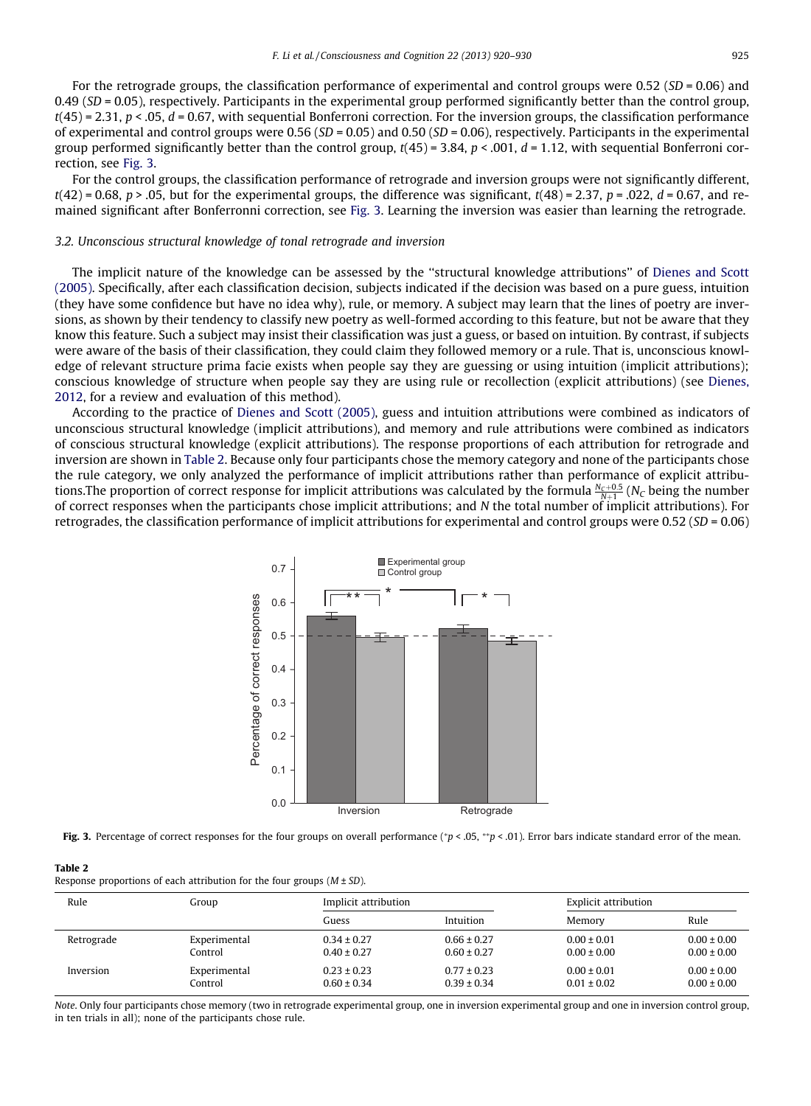For the retrograde groups, the classification performance of experimental and control groups were 0.52 ( $SD = 0.06$ ) and 0.49 (SD = 0.05), respectively. Participants in the experimental group performed significantly better than the control group,  $t(45) = 2.31$ ,  $p < .05$ ,  $d = 0.67$ , with sequential Bonferroni correction. For the inversion groups, the classification performance of experimental and control groups were  $0.56$  ( $SD = 0.05$ ) and  $0.50$  ( $SD = 0.06$ ), respectively. Participants in the experimental group performed significantly better than the control group,  $t(45) = 3.84$ ,  $p < .001$ ,  $d = 1.12$ , with sequential Bonferroni correction, see Fig. 3.

For the control groups, the classification performance of retrograde and inversion groups were not significantly different,  $t(42) = 0.68$ ,  $p > .05$ , but for the experimental groups, the difference was significant,  $t(48) = 2.37$ ,  $p = .022$ ,  $d = 0.67$ , and remained significant after Bonferronni correction, see Fig. 3. Learning the inversion was easier than learning the retrograde.

#### 3.2. Unconscious structural knowledge of tonal retrograde and inversion

The implicit nature of the knowledge can be assessed by the ''structural knowledge attributions'' of [Dienes and Scott](#page-8-0) [\(2005\).](#page-8-0) Specifically, after each classification decision, subjects indicated if the decision was based on a pure guess, intuition (they have some confidence but have no idea why), rule, or memory. A subject may learn that the lines of poetry are inversions, as shown by their tendency to classify new poetry as well-formed according to this feature, but not be aware that they know this feature. Such a subject may insist their classification was just a guess, or based on intuition. By contrast, if subjects were aware of the basis of their classification, they could claim they followed memory or a rule. That is, unconscious knowledge of relevant structure prima facie exists when people say they are guessing or using intuition (implicit attributions); conscious knowledge of structure when people say they are using rule or recollection (explicit attributions) (see [Dienes,](#page-8-0) [2012,](#page-8-0) for a review and evaluation of this method).

According to the practice of [Dienes and Scott \(2005\),](#page-8-0) guess and intuition attributions were combined as indicators of unconscious structural knowledge (implicit attributions), and memory and rule attributions were combined as indicators of conscious structural knowledge (explicit attributions). The response proportions of each attribution for retrograde and inversion are shown in Table 2. Because only four participants chose the memory category and none of the participants chose the rule category, we only analyzed the performance of implicit attributions rather than performance of explicit attributions.The proportion of correct response for implicit attributions was calculated by the formula  $\frac{N_C+0.5}{N+1}$  ( $N_C$  being the number of correct responses when the participants chose implicit attributions; and N the total number of implicit attributions). For retrogrades, the classification performance of implicit attributions for experimental and control groups were 0.52 (SD = 0.06)



Fig. 3. Percentage of correct responses for the four groups on overall performance (\*p < .05, \*\*p < .01). Error bars indicate standard error of the mean.

| Table 2                                                                     |
|-----------------------------------------------------------------------------|
| Response proportions of each attribution for the four groups $(M \pm SD)$ . |

| Rule       | Group        |                 | Implicit attribution |                 | <b>Explicit attribution</b> |
|------------|--------------|-----------------|----------------------|-----------------|-----------------------------|
|            |              | Guess           | Intuition            | Memory          | Rule                        |
| Retrograde | Experimental | $0.34 \pm 0.27$ | $0.66 \pm 0.27$      | $0.00 \pm 0.01$ | $0.00 \pm 0.00$             |
|            | Control      | $0.40 \pm 0.27$ | $0.60 \pm 0.27$      | $0.00 \pm 0.00$ | $0.00 \pm 0.00$             |
| Inversion  | Experimental | $0.23 \pm 0.23$ | $0.77 \pm 0.23$      | $0.00 \pm 0.01$ | $0.00 \pm 0.00$             |
|            | Control      | $0.60 \pm 0.34$ | $0.39 \pm 0.34$      | $0.01 \pm 0.02$ | $0.00 \pm 0.00$             |

Note. Only four participants chose memory (two in retrograde experimental group, one in inversion experimental group and one in inversion control group, in ten trials in all); none of the participants chose rule.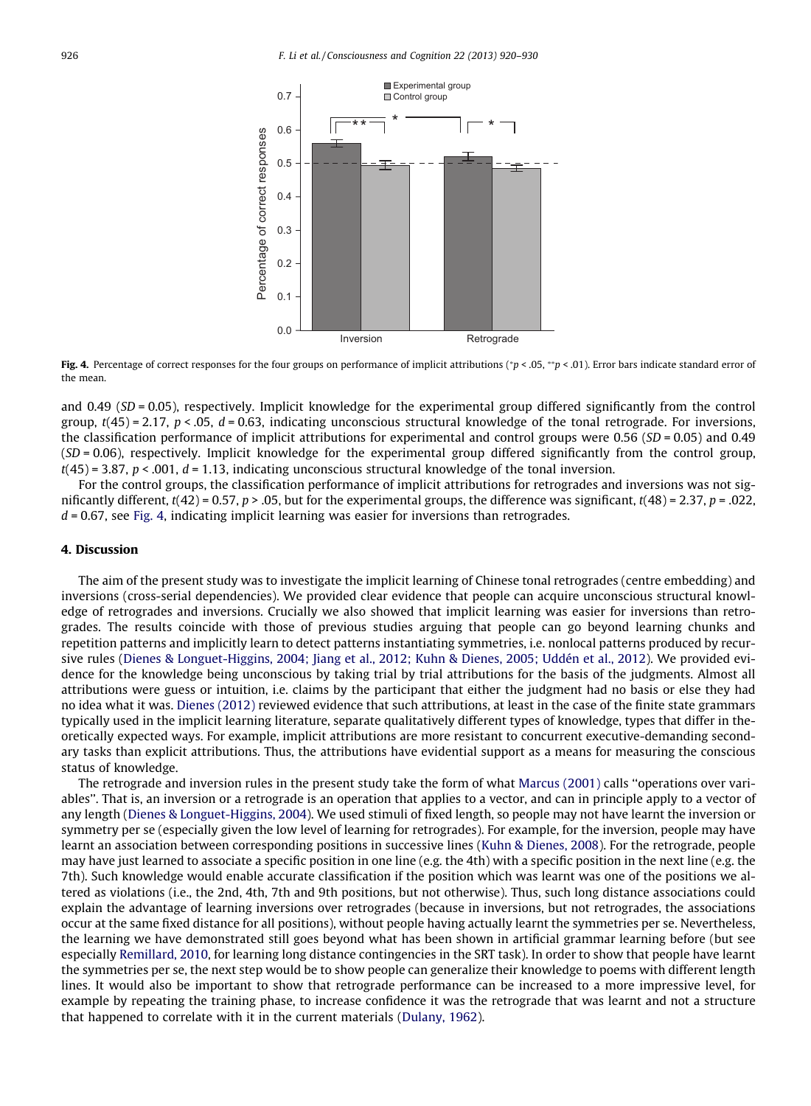

Fig. 4. Percentage of correct responses for the four groups on performance of implicit attributions ( $p < .05$ ,  $\binom{*}{p} < .01$ ). Error bars indicate standard error of the mean.

and  $0.49$  (SD = 0.05), respectively. Implicit knowledge for the experimental group differed significantly from the control group,  $t(45) = 2.17$ ,  $p < .05$ ,  $d = 0.63$ , indicating unconscious structural knowledge of the tonal retrograde. For inversions, the classification performance of implicit attributions for experimental and control groups were 0.56 ( $SD = 0.05$ ) and 0.49  $(SD = 0.06)$ , respectively. Implicit knowledge for the experimental group differed significantly from the control group,  $t(45) = 3.87$ ,  $p < .001$ ,  $d = 1.13$ , indicating unconscious structural knowledge of the tonal inversion.

For the control groups, the classification performance of implicit attributions for retrogrades and inversions was not significantly different,  $t(42) = 0.57$ ,  $p > 0.05$ , but for the experimental groups, the difference was significant,  $t(48) = 2.37$ ,  $p = 0.022$ ,  $d = 0.67$ , see Fig. 4, indicating implicit learning was easier for inversions than retrogrades.

### 4. Discussion

The aim of the present study was to investigate the implicit learning of Chinese tonal retrogrades (centre embedding) and inversions (cross-serial dependencies). We provided clear evidence that people can acquire unconscious structural knowledge of retrogrades and inversions. Crucially we also showed that implicit learning was easier for inversions than retrogrades. The results coincide with those of previous studies arguing that people can go beyond learning chunks and repetition patterns and implicitly learn to detect patterns instantiating symmetries, i.e. nonlocal patterns produced by recursive rules ([Dienes & Longuet-Higgins, 2004; Jiang et al., 2012; Kuhn & Dienes, 2005; Uddén et al., 2012\)](#page-8-0). We provided evidence for the knowledge being unconscious by taking trial by trial attributions for the basis of the judgments. Almost all attributions were guess or intuition, i.e. claims by the participant that either the judgment had no basis or else they had no idea what it was. [Dienes \(2012\)](#page-8-0) reviewed evidence that such attributions, at least in the case of the finite state grammars typically used in the implicit learning literature, separate qualitatively different types of knowledge, types that differ in theoretically expected ways. For example, implicit attributions are more resistant to concurrent executive-demanding secondary tasks than explicit attributions. Thus, the attributions have evidential support as a means for measuring the conscious status of knowledge.

The retrograde and inversion rules in the present study take the form of what [Marcus \(2001\)](#page-9-0) calls ''operations over variables''. That is, an inversion or a retrograde is an operation that applies to a vector, and can in principle apply to a vector of any length ([Dienes & Longuet-Higgins, 2004\)](#page-8-0). We used stimuli of fixed length, so people may not have learnt the inversion or symmetry per se (especially given the low level of learning for retrogrades). For example, for the inversion, people may have learnt an association between corresponding positions in successive lines [\(Kuhn & Dienes, 2008](#page-9-0)). For the retrograde, people may have just learned to associate a specific position in one line (e.g. the 4th) with a specific position in the next line (e.g. the 7th). Such knowledge would enable accurate classification if the position which was learnt was one of the positions we altered as violations (i.e., the 2nd, 4th, 7th and 9th positions, but not otherwise). Thus, such long distance associations could explain the advantage of learning inversions over retrogrades (because in inversions, but not retrogrades, the associations occur at the same fixed distance for all positions), without people having actually learnt the symmetries per se. Nevertheless, the learning we have demonstrated still goes beyond what has been shown in artificial grammar learning before (but see especially [Remillard, 2010,](#page-9-0) for learning long distance contingencies in the SRT task). In order to show that people have learnt the symmetries per se, the next step would be to show people can generalize their knowledge to poems with different length lines. It would also be important to show that retrograde performance can be increased to a more impressive level, for example by repeating the training phase, to increase confidence it was the retrograde that was learnt and not a structure that happened to correlate with it in the current materials [\(Dulany, 1962\)](#page-8-0).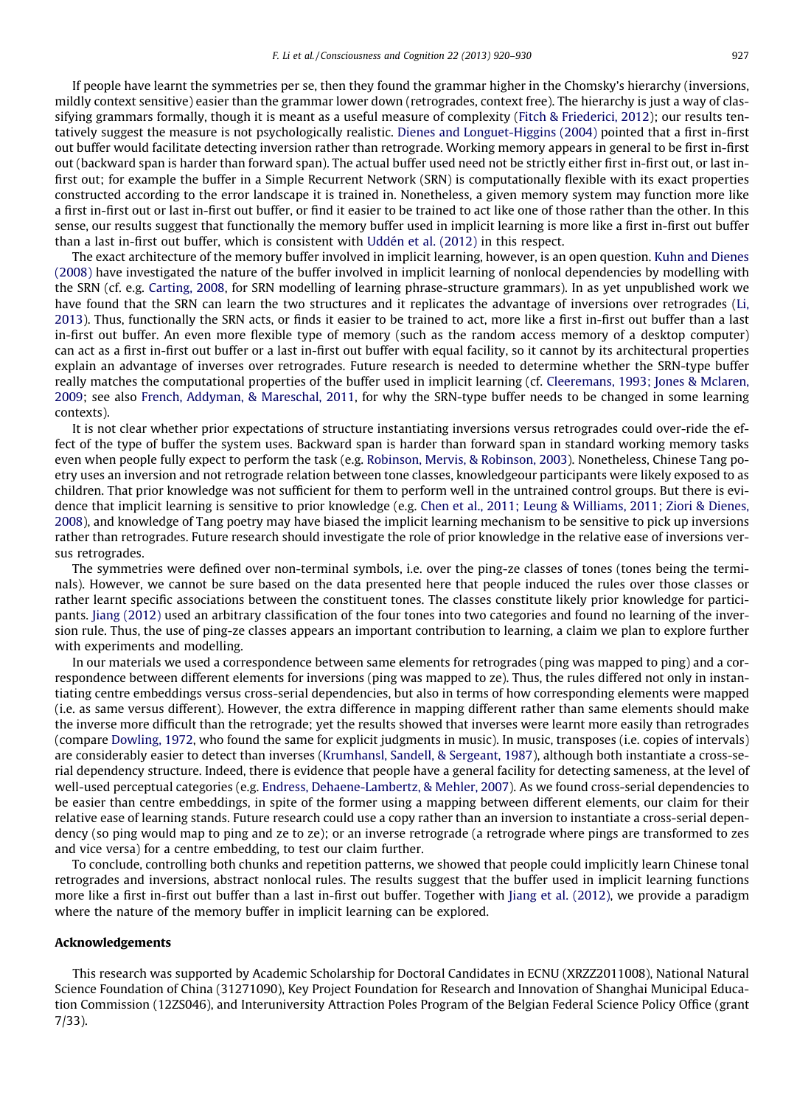If people have learnt the symmetries per se, then they found the grammar higher in the Chomsky's hierarchy (inversions, mildly context sensitive) easier than the grammar lower down (retrogrades, context free). The hierarchy is just a way of classifying grammars formally, though it is meant as a useful measure of complexity [\(Fitch & Friederici, 2012](#page-8-0)); our results tentatively suggest the measure is not psychologically realistic. [Dienes and Longuet-Higgins \(2004\)](#page-8-0) pointed that a first in-first out buffer would facilitate detecting inversion rather than retrograde. Working memory appears in general to be first in-first out (backward span is harder than forward span). The actual buffer used need not be strictly either first in-first out, or last infirst out; for example the buffer in a Simple Recurrent Network (SRN) is computationally flexible with its exact properties constructed according to the error landscape it is trained in. Nonetheless, a given memory system may function more like a first in-first out or last in-first out buffer, or find it easier to be trained to act like one of those rather than the other. In this sense, our results suggest that functionally the memory buffer used in implicit learning is more like a first in-first out buffer than a last in-first out buffer, which is consistent with [Uddén et al. \(2012\)](#page-10-0) in this respect.

The exact architecture of the memory buffer involved in implicit learning, however, is an open question. [Kuhn and Dienes](#page-9-0) [\(2008\)](#page-9-0) have investigated the nature of the buffer involved in implicit learning of nonlocal dependencies by modelling with the SRN (cf. e.g. [Carting, 2008,](#page-8-0) for SRN modelling of learning phrase-structure grammars). In as yet unpublished work we have found that the SRN can learn the two structures and it replicates the advantage of inversions over retrogrades ([Li,](#page-9-0) [2013\)](#page-9-0). Thus, functionally the SRN acts, or finds it easier to be trained to act, more like a first in-first out buffer than a last in-first out buffer. An even more flexible type of memory (such as the random access memory of a desktop computer) can act as a first in-first out buffer or a last in-first out buffer with equal facility, so it cannot by its architectural properties explain an advantage of inverses over retrogrades. Future research is needed to determine whether the SRN-type buffer really matches the computational properties of the buffer used in implicit learning (cf. [Cleeremans, 1993; Jones & Mclaren,](#page-8-0) [2009;](#page-8-0) see also [French, Addyman, & Mareschal, 2011](#page-8-0), for why the SRN-type buffer needs to be changed in some learning contexts).

It is not clear whether prior expectations of structure instantiating inversions versus retrogrades could over-ride the effect of the type of buffer the system uses. Backward span is harder than forward span in standard working memory tasks even when people fully expect to perform the task (e.g. [Robinson, Mervis, & Robinson, 2003](#page-9-0)). Nonetheless, Chinese Tang poetry uses an inversion and not retrograde relation between tone classes, knowledgeour participants were likely exposed to as children. That prior knowledge was not sufficient for them to perform well in the untrained control groups. But there is evidence that implicit learning is sensitive to prior knowledge (e.g. [Chen et al., 2011; Leung & Williams, 2011; Ziori & Dienes,](#page-8-0) [2008\)](#page-8-0), and knowledge of Tang poetry may have biased the implicit learning mechanism to be sensitive to pick up inversions rather than retrogrades. Future research should investigate the role of prior knowledge in the relative ease of inversions versus retrogrades.

The symmetries were defined over non-terminal symbols, i.e. over the ping-ze classes of tones (tones being the terminals). However, we cannot be sure based on the data presented here that people induced the rules over those classes or rather learnt specific associations between the constituent tones. The classes constitute likely prior knowledge for participants. [Jiang \(2012\)](#page-9-0) used an arbitrary classification of the four tones into two categories and found no learning of the inversion rule. Thus, the use of ping-ze classes appears an important contribution to learning, a claim we plan to explore further with experiments and modelling.

In our materials we used a correspondence between same elements for retrogrades (ping was mapped to ping) and a correspondence between different elements for inversions (ping was mapped to ze). Thus, the rules differed not only in instantiating centre embeddings versus cross-serial dependencies, but also in terms of how corresponding elements were mapped (i.e. as same versus different). However, the extra difference in mapping different rather than same elements should make the inverse more difficult than the retrograde; yet the results showed that inverses were learnt more easily than retrogrades (compare [Dowling, 1972,](#page-8-0) who found the same for explicit judgments in music). In music, transposes (i.e. copies of intervals) are considerably easier to detect than inverses ([Krumhansl, Sandell, & Sergeant, 1987\)](#page-9-0), although both instantiate a cross-serial dependency structure. Indeed, there is evidence that people have a general facility for detecting sameness, at the level of well-used perceptual categories (e.g. [Endress, Dehaene-Lambertz, & Mehler, 2007\)](#page-8-0). As we found cross-serial dependencies to be easier than centre embeddings, in spite of the former using a mapping between different elements, our claim for their relative ease of learning stands. Future research could use a copy rather than an inversion to instantiate a cross-serial dependency (so ping would map to ping and ze to ze); or an inverse retrograde (a retrograde where pings are transformed to zes and vice versa) for a centre embedding, to test our claim further.

To conclude, controlling both chunks and repetition patterns, we showed that people could implicitly learn Chinese tonal retrogrades and inversions, abstract nonlocal rules. The results suggest that the buffer used in implicit learning functions more like a first in-first out buffer than a last in-first out buffer. Together with [Jiang et al. \(2012\),](#page-9-0) we provide a paradigm where the nature of the memory buffer in implicit learning can be explored.

#### Acknowledgements

This research was supported by Academic Scholarship for Doctoral Candidates in ECNU (XRZZ2011008), National Natural Science Foundation of China (31271090), Key Project Foundation for Research and Innovation of Shanghai Municipal Education Commission (12ZS046), and Interuniversity Attraction Poles Program of the Belgian Federal Science Policy Office (grant 7/33).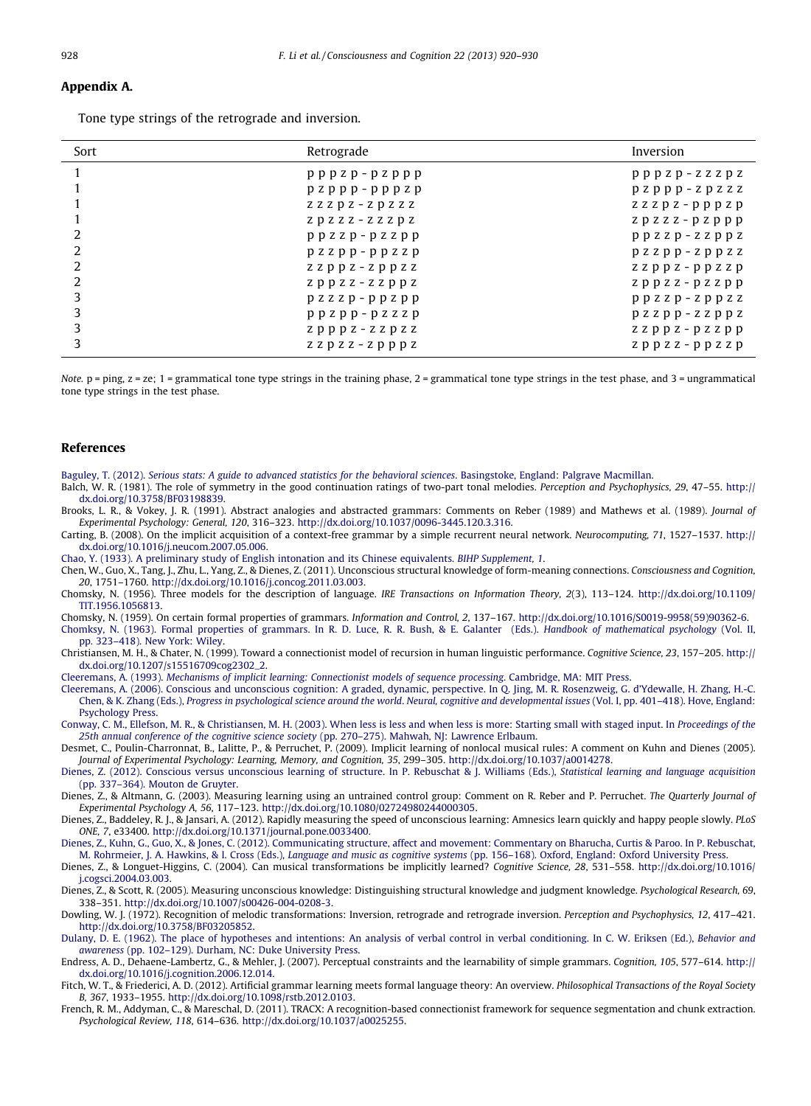#### <span id="page-8-0"></span>Appendix A.

Tone type strings of the retrograde and inversion.

| Sort | Retrograde                                | Inversion                                 |
|------|-------------------------------------------|-------------------------------------------|
|      | $p p p z p - p z p p p$                   | $p p p z p - z z z p z$                   |
|      | $p z p p p - p p p z p$                   | $p z p p p - z p z z z$                   |
|      | zzzpz-zpzzz                               | $Z$ $Z$ $Z$ $D$ $Z$ $ D$ $D$ $D$ $Z$ $D$  |
|      | $Z$ $p$ $Z$ $Z$ $z$ $ Z$ $Z$ $Z$ $p$ $Z$  | $z p z z z - p z p p p$                   |
|      | $p p z z p - p z z p p$                   | $p p z z p - z z p p z$                   |
|      | $p z z p p - p p z z p$                   | $p z z p p - z p p z z$                   |
|      | $Z$ $Z$ $p$ $p$ $Z$ - $Z$ $p$ $p$ $Z$ $Z$ | $Z$ $Z$ $D$ $D$ $Z$ $ D$ $D$ $Z$ $Z$ $D$  |
|      | z p p z z - z z p p z                     | $z p p z z - p z z p p$                   |
|      | $p z z z p - p p z p p$                   | $p p z z p - z p p z z$                   |
|      | $p p z p p - p z z z p$                   | $p z z p p - z z p p z$                   |
|      | z p p p z - z z p z z                     | zzppz-pzzpp                               |
|      | $Z$ $Z$ $D$ $Z$ $Z$ $ Z$ $D$ $D$ $D$ $Z$  | $Z$ $p$ $p$ $Z$ $Z$ - $p$ $p$ $Z$ $Z$ $p$ |

Note.  $p = p$ ing,  $z = ze$ ; 1 = grammatical tone type strings in the training phase,  $2 = g$ rammatical tone type strings in the test phase, and 3 = ungrammatical tone type strings in the test phase.

#### References

Baguley, T. (2012). [Serious stats: A guide to advanced statistics for the behavioral sciences](http://refhub.elsevier.com/S1053-8100(13)00087-1/h0005). Basingstoke, England: Palgrave Macmillan.

Balch, W. R. (1981). The role of symmetry in the good continuation ratings of two-part tonal melodies. Perception and Psychophysics, 29, 47–55. [http://](http://dx.doi.org/10.3758/BF03198839) [dx.doi.org/10.3758/BF03198839.](http://dx.doi.org/10.3758/BF03198839)

Brooks, L. R., & Vokey, J. R. (1991). Abstract analogies and abstracted grammars: Comments on Reber (1989) and Mathews et al. (1989). Journal of Experimental Psychology: General, 120, 316–323. [http://dx.doi.org/10.1037/0096-3445.120.3.316.](http://dx.doi.org/10.1037/0096-3445.120.3.316)

Carting, B. (2008). On the implicit acquisition of a context-free grammar by a simple recurrent neural network. Neurocomputing, 71, 1527–1537. [http://](http://dx.doi.org/10.1016/j.neucom.2007.05.006) [dx.doi.org/10.1016/j.neucom.2007.05.006.](http://dx.doi.org/10.1016/j.neucom.2007.05.006)

[Chao, Y. \(1933\). A preliminary study of English intonation and its Chinese equivalents.](http://refhub.elsevier.com/S1053-8100(13)00087-1/h0025) BIHP Supplement, 1.

Chen, W., Guo, X., Tang, J., Zhu, L., Yang, Z., & Dienes, Z. (2011). Unconscious structural knowledge of form-meaning connections. Consciousness and Cognition, 20, 1751–1760. <http://dx.doi.org/10.1016/j.concog.2011.03.003>.

Chomsky, N. (1956). Three models for the description of language. IRE Transactions on Information Theory, 2(3), 113–124. [http://dx.doi.org/10.1109/](http://dx.doi.org/10.1109/TIT.1956.1056813) [TIT.1956.1056813.](http://dx.doi.org/10.1109/TIT.1956.1056813)

Chomsky, N. (1959). On certain formal properties of grammars. Information and Control, 2, 137–167. [http://dx.doi.org/10.1016/S0019-9958\(59\)90362-6.](http://dx.doi.org/10.1016/S0019-9958(59)90362-6)

[Chomksy, N. \(1963\). Formal properties of grammars. In R. D. Luce, R. R. Bush, & E. Galanter \(Eds.\).](http://refhub.elsevier.com/S1053-8100(13)00087-1/h0045) Handbook of mathematical psychology (Vol. II, [pp. 323–418\). New York: Wiley.](http://refhub.elsevier.com/S1053-8100(13)00087-1/h0045)

Christiansen, M. H., & Chater, N. (1999). Toward a connectionist model of recursion in human linguistic performance. Cognitive Science, 23, 157–205. [http://](http://dx.doi.org/10.1207/s15516709cog2302_2) [dx.doi.org/10.1207/s15516709cog2302\\_2](http://dx.doi.org/10.1207/s15516709cog2302_2).

Cleeremans, A. (1993). [Mechanisms of implicit learning: Connectionist models of sequence processing](http://refhub.elsevier.com/S1053-8100(13)00087-1/h0055). Cambridge, MA: MIT Press.

[Cleeremans, A. \(2006\). Conscious and unconscious cognition: A graded, dynamic, perspective. In Q. Jing, M. R. Rosenzweig, G. d'Ydewalle, H. Zhang, H.-C.](http://refhub.elsevier.com/S1053-8100(13)00087-1/h0060) Chen, & K. Zhang (Eds.), [Progress in psychological science around the world](http://refhub.elsevier.com/S1053-8100(13)00087-1/h0060). Neural, cognitive and developmental issues (Vol. I, pp. 401–418). Hove, England: [Psychology Press.](http://refhub.elsevier.com/S1053-8100(13)00087-1/h0060)

[Conway, C. M., Ellefson, M. R., & Christiansen, M. H. \(2003\). When less is less and when less is more: Starting small with staged input. In](http://refhub.elsevier.com/S1053-8100(13)00087-1/h0065) Proceedings of the [25th annual conference of the cognitive science society](http://refhub.elsevier.com/S1053-8100(13)00087-1/h0065) (pp. 270–275). Mahwah, NJ: Lawrence Erlbaum.

Desmet, C., Poulin-Charronnat, B., Lalitte, P., & Perruchet, P. (2009). Implicit learning of nonlocal musical rules: A comment on Kuhn and Dienes (2005). Journal of Experimental Psychology: Learning, Memory, and Cognition, 35, 299–305. <http://dx.doi.org/10.1037/a0014278>.

[Dienes, Z. \(2012\). Conscious versus unconscious learning of structure. In P. Rebuschat & J. Williams \(Eds.\),](http://refhub.elsevier.com/S1053-8100(13)00087-1/h0075) Statistical learning and language acquisition [\(pp. 337–364\). Mouton de Gruyter.](http://refhub.elsevier.com/S1053-8100(13)00087-1/h0075)

Dienes, Z., & Altmann, G. (2003). Measuring learning using an untrained control group: Comment on R. Reber and P. Perruchet. The Quarterly Journal of Experimental Psychology A, 56, 117–123. <http://dx.doi.org/10.1080/02724980244000305>.

Dienes, Z., Baddeley, R. J., & Jansari, A. (2012). Rapidly measuring the speed of unconscious learning: Amnesics learn quickly and happy people slowly. PLoS ONE, 7, e33400. [http://dx.doi.org/10.1371/journal.pone.0033400.](http://dx.doi.org/10.1371/journal.pone.0033400)

[Dienes, Z., Kuhn, G., Guo, X., & Jones, C. \(2012\). Communicating structure, affect and movement: Commentary on Bharucha, Curtis & Paroo. In P. Rebuschat,](http://refhub.elsevier.com/S1053-8100(13)00087-1/h0090) M. Rohrmeier, J. A. Hawkins, & I. Cross (Eds.), Language and music as cognitive systems [\(pp. 156–168\). Oxford, England: Oxford University Press.](http://refhub.elsevier.com/S1053-8100(13)00087-1/h0090)

Dienes, Z., & Longuet-Higgins, C. (2004). Can musical transformations be implicitly learned? Cognitive Science, 28, 531–558. [http://dx.doi.org/10.1016/](http://dx.doi.org/10.1016/j.cogsci.2004.03.003) [j.cogsci.2004.03.003.](http://dx.doi.org/10.1016/j.cogsci.2004.03.003)

Dienes, Z., & Scott, R. (2005). Measuring unconscious knowledge: Distinguishing structural knowledge and judgment knowledge. Psychological Research, 69, 338–351. <http://dx.doi.org/10.1007/s00426-004-0208-3>.

Dowling, W. J. (1972). Recognition of melodic transformations: Inversion, retrograde and retrograde inversion. Perception and Psychophysics, 12, 417–421. [http://dx.doi.org/10.3758/BF03205852.](http://dx.doi.org/10.3758/BF03205852)

[Dulany, D. E. \(1962\). The place of hypotheses and intentions: An analysis of verbal control in verbal conditioning. In C. W. Eriksen \(Ed.\),](http://refhub.elsevier.com/S1053-8100(13)00087-1/h0110) Behavior and awareness [\(pp. 102–129\). Durham, NC: Duke University Press](http://refhub.elsevier.com/S1053-8100(13)00087-1/h0110).

Endress, A. D., Dehaene-Lambertz, G., & Mehler, J. (2007). Perceptual constraints and the learnability of simple grammars. Cognition, 105, 577–614. [http://](http://dx.doi.org/10.1016/j.cognition.2006.12.014) [dx.doi.org/10.1016/j.cognition.2006.12.014.](http://dx.doi.org/10.1016/j.cognition.2006.12.014)

Fitch, W. T., & Friederici, A. D. (2012). Artificial grammar learning meets formal language theory: An overview. Philosophical Transactions of the Royal Society B, 367, 1933–1955. <http://dx.doi.org/10.1098/rstb.2012.0103>.

French, R. M., Addyman, C., & Mareschal, D. (2011). TRACX: A recognition-based connectionist framework for sequence segmentation and chunk extraction. Psychological Review, 118, 614–636. <http://dx.doi.org/10.1037/a0025255>.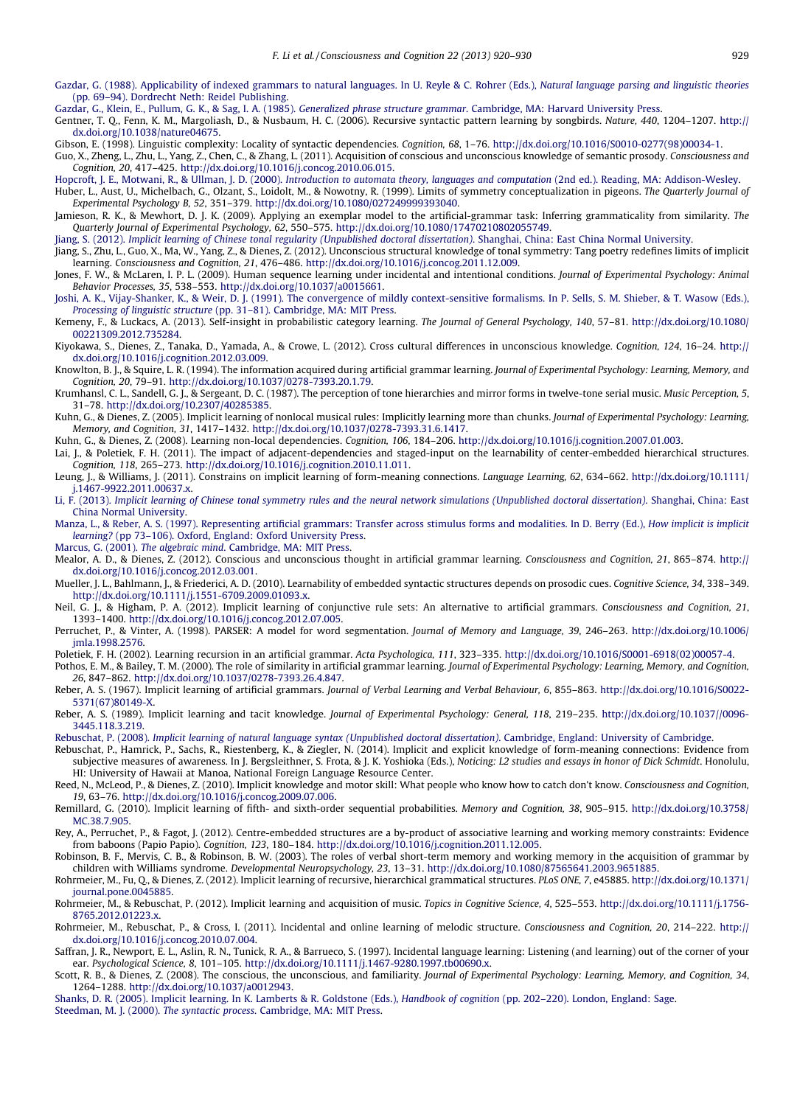- <span id="page-9-0"></span>[Gazdar, G. \(1988\). Applicability of indexed grammars to natural languages. In U. Reyle & C. Rohrer \(Eds.\),](http://refhub.elsevier.com/S1053-8100(13)00087-1/h0130) Natural language parsing and linguistic theories [\(pp. 69–94\). Dordrecht Neth: Reidel Publishing](http://refhub.elsevier.com/S1053-8100(13)00087-1/h0130).
- [Gazdar, G., Klein, E., Pullum, G. K., & Sag, I. A. \(1985\).](http://refhub.elsevier.com/S1053-8100(13)00087-1/h0135) Generalized phrase structure grammar. Cambridge, MA: Harvard University Press.
- Gentner, T. Q., Fenn, K. M., Margoliash, D., & Nusbaum, H. C. (2006). Recursive syntactic pattern learning by songbirds. Nature, 440, 1204–1207. [http://](http://dx.doi.org/10.1038/nature04675) [dx.doi.org/10.1038/nature04675.](http://dx.doi.org/10.1038/nature04675)
- Gibson, E. (1998). Linguistic complexity: Locality of syntactic dependencies. Cognition, 68, 1–76. [http://dx.doi.org/10.1016/S0010-0277\(98\)00034-1.](http://dx.doi.org/10.1016/S0010-0277(98)00034-1)
- Guo, X., Zheng, L., Zhu, L., Yang, Z., Chen, C., & Zhang, L. (2011). Acquisition of conscious and unconscious knowledge of semantic prosody. Consciousness and Cognition, 20, 417–425. <http://dx.doi.org/10.1016/j.concog.2010.06.015>.
- Hopcroft, J. E., Motwani, R., & Ullman, J. D. (2000). [Introduction to automata theory, languages and computation](http://refhub.elsevier.com/S1053-8100(13)00087-1/h0155) (2nd ed.). Reading, MA: Addison-Wesley. Huber, L., Aust, U., Michelbach, G., Olzant, S., Loidolt, M., & Nowotny, R. (1999). Limits of symmetry conceptualization in pigeons. The Quarterly Journal of Experimental Psychology B, 52, 351–379. <http://dx.doi.org/10.1080/027249999393040>.
- Jamieson, R. K., & Mewhort, D. J. K. (2009). Applying an exemplar model to the artificial-grammar task: Inferring grammaticality from similarity. The Quarterly Journal of Experimental Psychology, 62, 550–575. [http://dx.doi.org/10.1080/17470210802055749.](http://dx.doi.org/10.1080/17470210802055749)
- Jiang, S. (2012). [Implicit learning of Chinese tonal regularity \(Unpublished doctoral dissertation\)](http://refhub.elsevier.com/S1053-8100(13)00087-1/h0170). Shanghai, China: East China Normal University.
- Jiang, S., Zhu, L., Guo, X., Ma, W., Yang, Z., & Dienes, Z. (2012). Unconscious structural knowledge of tonal symmetry: Tang poetry redefines limits of implicit learning. Consciousness and Cognition, 21, 476–486. [http://dx.doi.org/10.1016/j.concog.2011.12.009.](http://dx.doi.org/10.1016/j.concog.2011.12.009)
- Jones, F. W., & McLaren, I. P. L. (2009). Human sequence learning under incidental and intentional conditions. Journal of Experimental Psychology: Animal Behavior Processes, 35, 538–553. [http://dx.doi.org/10.1037/a0015661.](http://dx.doi.org/10.1037/a0015661)
- [Joshi, A. K., Vijay-Shanker, K., & Weir, D. J. \(1991\). The convergence of mildly context-sensitive formalisms. In P. Sells, S. M. Shieber, & T. Wasow \(Eds.\),](http://refhub.elsevier.com/S1053-8100(13)00087-1/h0185) Processing of linguistic structure [\(pp. 31–81\). Cambridge, MA: MIT Press.](http://refhub.elsevier.com/S1053-8100(13)00087-1/h0185)
- Kemeny, F., & Luckacs, A. (2013). Self-insight in probabilistic category learning. The Journal of General Psychology, 140, 57–81. [http://dx.doi.org/10.1080/](http://dx.doi.org/10.1080/00221309.2012.735284) [00221309.2012.735284](http://dx.doi.org/10.1080/00221309.2012.735284).
- Kiyokawa, S., Dienes, Z., Tanaka, D., Yamada, A., & Crowe, L. (2012). Cross cultural differences in unconscious knowledge. Cognition, 124, 16–24. [http://](http://dx.doi.org/10.1016/j.cognition.2012.03.009) [dx.doi.org/10.1016/j.cognition.2012.03.009.](http://dx.doi.org/10.1016/j.cognition.2012.03.009)
- Knowlton, B. J., & Squire, L. R. (1994). The information acquired during artificial grammar learning. Journal of Experimental Psychology: Learning, Memory, and Cognition, 20, 79–91. <http://dx.doi.org/10.1037/0278-7393.20.1.79>.
- Krumhansl, C. L., Sandell, G. J., & Sergeant, D. C. (1987). The perception of tone hierarchies and mirror forms in twelve-tone serial music. Music Perception, 5, 31–78. [http://dx.doi.org/10.2307/40285385.](http://dx.doi.org/10.2307/40285385)
- Kuhn, G., & Dienes, Z. (2005). Implicit learning of nonlocal musical rules: Implicitly learning more than chunks. Journal of Experimental Psychology: Learning, Memory, and Cognition, 31, 1417–1432. [http://dx.doi.org/10.1037/0278-7393.31.6.1417.](http://dx.doi.org/10.1037/0278-7393.31.6.1417)
- Kuhn, G., & Dienes, Z. (2008). Learning non-local dependencies. Cognition, 106, 184–206. <http://dx.doi.org/10.1016/j.cognition.2007.01.003>.
- Lai, J., & Poletiek, F. H. (2011). The impact of adjacent-dependencies and staged-input on the learnability of center-embedded hierarchical structures. Cognition, 118, 265–273. <http://dx.doi.org/10.1016/j.cognition.2010.11.011>.
- Leung, J., & Williams, J. (2011). Constrains on implicit learning of form-meaning connections. Language Learning, 62, 634–662. [http://dx.doi.org/10.1111/](http://dx.doi.org/10.1111/j.1467-9922.2011.00637.x) [j.1467-9922.2011.00637.x](http://dx.doi.org/10.1111/j.1467-9922.2011.00637.x).
- Li, F. (2013). [Implicit learning of Chinese tonal symmetry rules and the neural network simulations \(Unpublished doctoral dissertation\)](http://refhub.elsevier.com/S1053-8100(13)00087-1/h0230). Shanghai, China: East [China Normal University](http://refhub.elsevier.com/S1053-8100(13)00087-1/h0230).
- [Manza, L., & Reber, A. S. \(1997\). Representing artificial grammars: Transfer across stimulus forms and modalities. In D. Berry \(Ed.\),](http://refhub.elsevier.com/S1053-8100(13)00087-1/h0235) How implicit is implicit learning? [\(pp 73–106\). Oxford, England: Oxford University Press](http://refhub.elsevier.com/S1053-8100(13)00087-1/h0235).
- Marcus, G. (2001). The algebraic mind[. Cambridge, MA: MIT Press.](http://refhub.elsevier.com/S1053-8100(13)00087-1/h0240) Mealor, A. D., & Dienes, Z. (2012). Conscious and unconscious thought in artificial grammar learning. Consciousness and Cognition, 21, 865–874. [http://](http://dx.doi.org/10.1016/j.concog.2012.03.001) [dx.doi.org/10.1016/j.concog.2012.03.001](http://dx.doi.org/10.1016/j.concog.2012.03.001).
- Mueller, J. L., Bahlmann, J., & Friederici, A. D. (2010). Learnability of embedded syntactic structures depends on prosodic cues. Cognitive Science, 34, 338-349. [http://dx.doi.org/10.1111/j.1551-6709.2009.01093.x.](http://dx.doi.org/10.1111/j.1551-6709.2009.01093.x)
- Neil, G. J., & Higham, P. A. (2012). Implicit learning of conjunctive rule sets: An alternative to artificial grammars. Consciousness and Cognition, 21, 1393–1400. [http://dx.doi.org/10.1016/j.concog.2012.07.005.](http://dx.doi.org/10.1016/j.concog.2012.07.005)
- Perruchet, P., & Vinter, A. (1998). PARSER: A model for word segmentation. Journal of Memory and Language, 39, 246-263. [http://dx.doi.org/10.1006/](http://dx.doi.org/10.1006/jmla.1998.2576) [jmla.1998.2576.](http://dx.doi.org/10.1006/jmla.1998.2576)
- Poletiek, F. H. (2002). Learning recursion in an artificial grammar. Acta Psychologica, 111, 323–335. [http://dx.doi.org/10.1016/S0001-6918\(02\)00057-4.](http://dx.doi.org/10.1016/S0001-6918(02)00057-4)
- Pothos, E. M., & Bailey, T. M. (2000). The role of similarity in artificial grammar learning. Journal of Experimental Psychology: Learning, Memory, and Cognition, 26, 847–862. [http://dx.doi.org/10.1037/0278-7393.26.4.847.](http://dx.doi.org/10.1037/0278-7393.26.4.847)
- Reber, A. S. (1967). Implicit learning of artificial grammars. Journal of Verbal Learning and Verbal Behaviour, 6, 855–863. [http://dx.doi.org/10.1016/S0022-](http://dx.doi.org/10.1016/S0022-5371(67)80149-X) [5371\(67\)80149-X.](http://dx.doi.org/10.1016/S0022-5371(67)80149-X)
- Reber, A. S. (1989). Implicit learning and tacit knowledge. Journal of Experimental Psychology: General, 118, 219–235. [http://dx.doi.org/10.1037//0096-](http://dx.doi.org/10.1037//0096-3445.118.3.219) [3445.118.3.219.](http://dx.doi.org/10.1037//0096-3445.118.3.219)
- Rebuschat, P. (2008). [Implicit learning of natural language syntax \(Unpublished doctoral dissertation\)](http://refhub.elsevier.com/S1053-8100(13)00087-1/h0285). Cambridge, England: University of Cambridge.
- Rebuschat, P., Hamrick, P., Sachs, R., Riestenberg, K., & Ziegler, N. (2014). Implicit and explicit knowledge of form-meaning connections: Evidence from subjective measures of awareness. In J. Bergsleithner, S. Frota, & J. K. Yoshioka (Eds.), Noticing: L2 studies and essays in honor of Dick Schmidt. Honolulu, HI: University of Hawaii at Manoa, National Foreign Language Resource Center.
- Reed, N., McLeod, P., & Dienes, Z. (2010). Implicit knowledge and motor skill: What people who know how to catch don't know. Consciousness and Cognition, 19, 63–76. [http://dx.doi.org/10.1016/j.concog.2009.07.006.](http://dx.doi.org/10.1016/j.concog.2009.07.006)
- Remillard, G. (2010). Implicit learning of fifth- and sixth-order sequential probabilities. Memory and Cognition, 38, 905–915. [http://dx.doi.org/10.3758/](http://dx.doi.org/10.3758/MC.38.7.905) [MC.38.7.905](http://dx.doi.org/10.3758/MC.38.7.905)
- Rey, A., Perruchet, P., & Fagot, J. (2012). Centre-embedded structures are a by-product of associative learning and working memory constraints: Evidence from baboons (Papio Papio). Cognition, 123, 180–184. <http://dx.doi.org/10.1016/j.cognition.2011.12.005>.
- Robinson, B. F., Mervis, C. B., & Robinson, B. W. (2003). The roles of verbal short-term memory and working memory in the acquisition of grammar by children with Williams syndrome. Developmental Neuropsychology, 23, 13–31. <http://dx.doi.org/10.1080/87565641.2003.9651885>.
- Rohrmeier, M., Fu, Q., & Dienes, Z. (2012). Implicit learning of recursive, hierarchical grammatical structures. PLoS ONE, 7, e45885. [http://dx.doi.org/10.1371/](http://dx.doi.org/10.1371/journal.pone.0045885) [journal.pone.0045885](http://dx.doi.org/10.1371/journal.pone.0045885).
- Rohrmeier, M., & Rebuschat, P. (2012). Implicit learning and acquisition of music. Topics in Cognitive Science, 4, 525–553. [http://dx.doi.org/10.1111/j.1756-](http://dx.doi.org/10.1111/j.1756-8765.2012.01223.x) [8765.2012.01223.x.](http://dx.doi.org/10.1111/j.1756-8765.2012.01223.x)
- Rohrmeier, M., Rebuschat, P., & Cross, I. (2011). Incidental and online learning of melodic structure. Consciousness and Cognition, 20, 214–222. [http://](http://dx.doi.org/10.1016/j.concog.2010.07.004) [dx.doi.org/10.1016/j.concog.2010.07.004](http://dx.doi.org/10.1016/j.concog.2010.07.004).
- Saffran, J. R., Newport, E. L., Aslin, R. N., Tunick, R. A., & Barrueco, S. (1997). Incidental language learning: Listening (and learning) out of the corner of your ear. Psychological Science, 8, 101–105. [http://dx.doi.org/10.1111/j.1467-9280.1997.tb00690.x.](http://dx.doi.org/10.1111/j.1467-9280.1997.tb00690.x)
- Scott, R. B., & Dienes, Z. (2008). The conscious, the unconscious, and familiarity. Journal of Experimental Psychology: Learning, Memory, and Cognition, 34, 1264–1288. [http://dx.doi.org/10.1037/a0012943.](http://dx.doi.org/10.1037/a0012943)

[Shanks, D. R. \(2005\). Implicit learning. In K. Lamberts & R. Goldstone \(Eds.\),](http://refhub.elsevier.com/S1053-8100(13)00087-1/h0335) Handbook of cognition (pp. 202–220). London, England: Sage. Steedman, M. J. (2000). The syntactic process[. Cambridge, MA: MIT Press](http://refhub.elsevier.com/S1053-8100(13)00087-1/h0340).